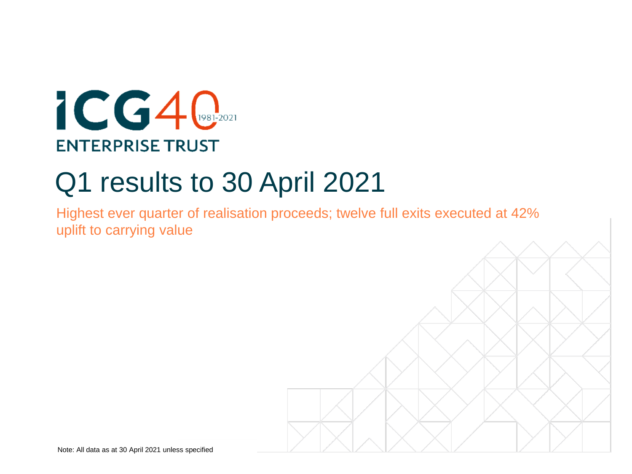# $ICGA$ **ENTERPRISE TRUST**

# Q1 results to 30 April 2021

Highest ever quarter of realisation proceeds; twelve full exits executed at 42% uplift to carrying value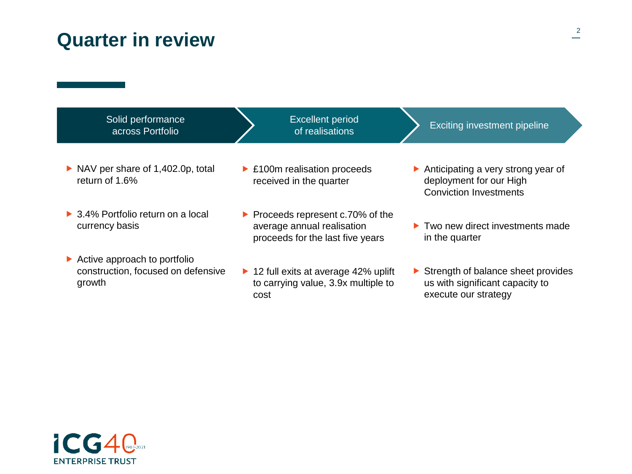## **Quarter in review**





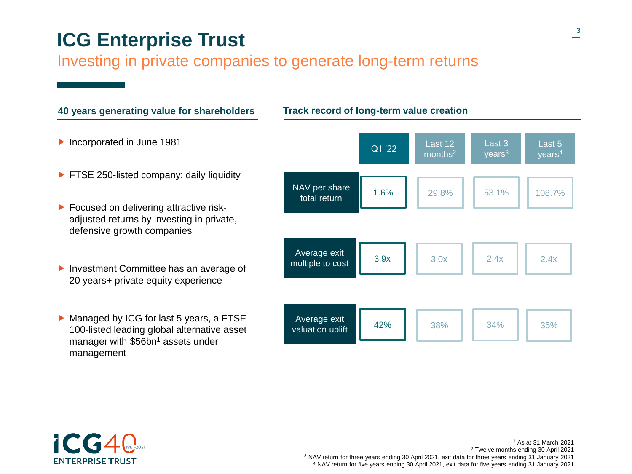# **ICG Enterprise Trust**

### Investing in private companies to generate long-term returns





 As at 31 March 2021 Twelve months ending 30 April 2021 NAV return for three years ending 30 April 2021, exit data for three years ending 31 January 2021 NAV return for five years ending 30 April 2021, exit data for five years ending 31 January 2021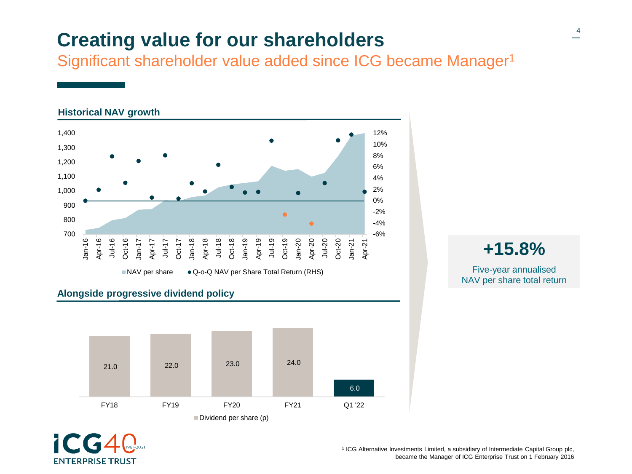# **Creating value for our shareholders**

Significant shareholder value added since ICG became Manager<sup>1</sup>



### **Alongside progressive dividend policy**





**+15.8%** Five-year annualised NAV per share total return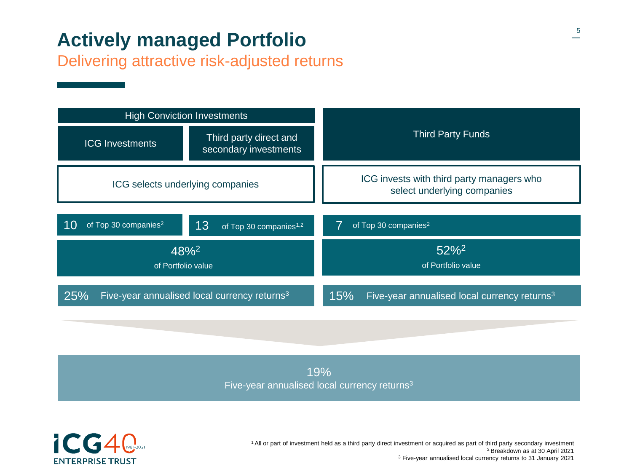# **Actively managed Portfolio**

Delivering attractive risk-adjusted returns



19% Five-year annualised local currency returns<sup>3</sup>



<sup>1</sup>All or part of investment held as a third party direct investment or acquired as part of third party secondary investment <sup>2</sup>Breakdown as at 30 April 2021 <sup>3</sup> Five-year annualised local currency returns to 31 January 2021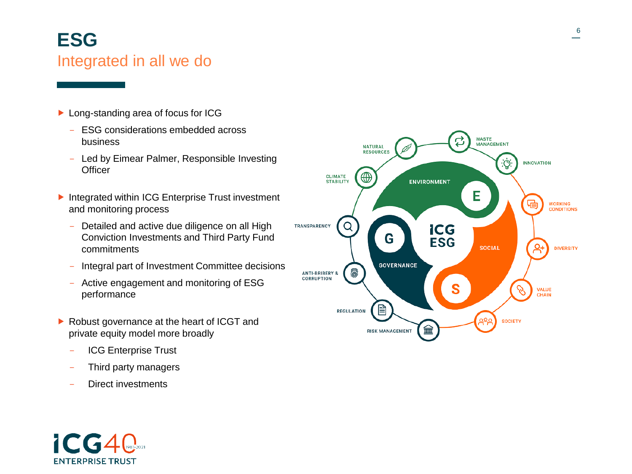# **ESG** Integrated in all we do

- ▶ Long-standing area of focus for ICG
	- ESG considerations embedded across business
	- Led by Eimear Palmer, Responsible Investing **Officer**
- Integrated within ICG Enterprise Trust investment and monitoring process
	- Detailed and active due diligence on all High Conviction Investments and Third Party Fund commitments
	- Integral part of Investment Committee decisions
	- Active engagement and monitoring of ESG performance
- ▶ Robust governance at the heart of ICGT and private equity model more broadly
	- ICG Enterprise Trust
	- Third party managers
	- Direct investments

**ENTERPRISE TRUST** 

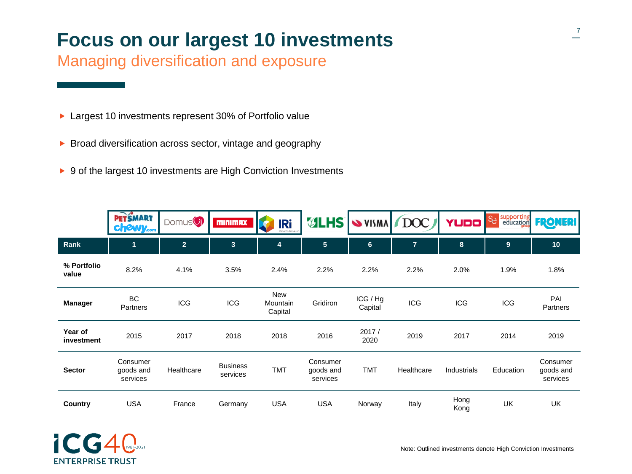# **Focus on our largest 10 investments**

Managing diversification and exposure

- ▶ Largest 10 investments represent 30% of Portfolio value
- $\triangleright$  Broad diversification across sector, vintage and geography
- ▶ 9 of the largest 10 investments are High Conviction Investments

|                       | <b>PETSMART</b><br><b>chewy.com</b> | Domus <sup>()</sup> | <b>MINIMAX</b>              | <b>IRi</b><br>Growth deliver | <b>VLHS</b>                       | <b>SVISMA DOC</b>   |                | <b>YUDO</b>  | Se supporting | <b>FRONERI</b>                    |
|-----------------------|-------------------------------------|---------------------|-----------------------------|------------------------------|-----------------------------------|---------------------|----------------|--------------|---------------|-----------------------------------|
| Rank                  | $\mathbf{1}$                        | 2 <sup>1</sup>      | 3                           | $\overline{4}$               | $5\phantom{.0}$                   | $6\phantom{1}$      | $\overline{7}$ | 8            | 9             | 10                                |
| % Portfolio<br>value  | 8.2%                                | 4.1%                | 3.5%                        | 2.4%                         | 2.2%                              | 2.2%                | 2.2%           | 2.0%         | 1.9%          | 1.8%                              |
| <b>Manager</b>        | <b>BC</b><br>Partners               | <b>ICG</b>          | <b>ICG</b>                  | New<br>Mountain<br>Capital   | Gridiron                          | ICG / Hg<br>Capital | <b>ICG</b>     | <b>ICG</b>   | <b>ICG</b>    | PAI<br>Partners                   |
| Year of<br>investment | 2015                                | 2017                | 2018                        | 2018                         | 2016                              | 2017/<br>2020       | 2019           | 2017         | 2014          | 2019                              |
| <b>Sector</b>         | Consumer<br>goods and<br>services   | Healthcare          | <b>Business</b><br>services | <b>TMT</b>                   | Consumer<br>goods and<br>services | <b>TMT</b>          | Healthcare     | Industrials  | Education     | Consumer<br>goods and<br>services |
| Country               | <b>USA</b>                          | France              | Germany                     | <b>USA</b>                   | <b>USA</b>                        | Norway              | Italy          | Hong<br>Kong | UK            | UK                                |

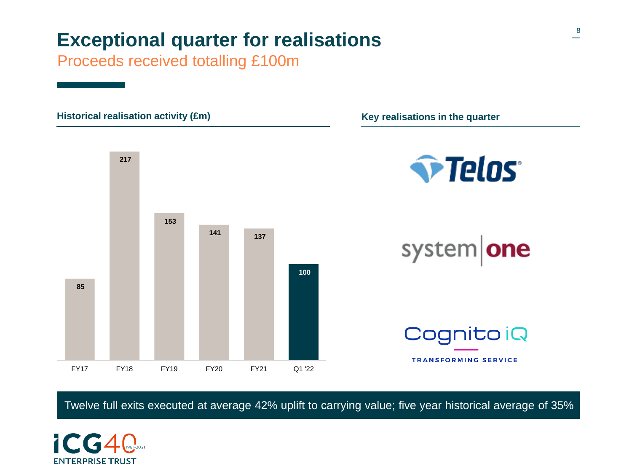# **Exceptional quarter for realisations**

Proceeds received totalling £100m



Twelve full exits executed at average 42% uplift to carrying value; five year historical average of 35%

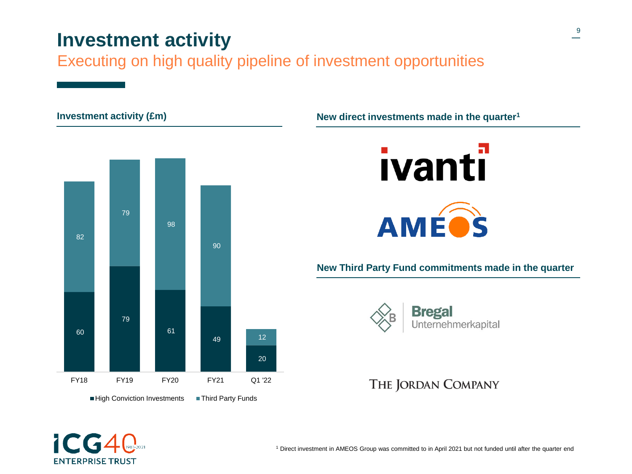# **Investment activity**

Executing on high quality pipeline of investment opportunities

**New direct investment activity (£m) Investments made in the quarter**<sup>1</sup>







### **New Third Party Fund commitments made in the quarter**



### THE JORDAN COMPANY



Direct investment in AMEOS Group was committed to in April 2021 but not funded until after the quarter end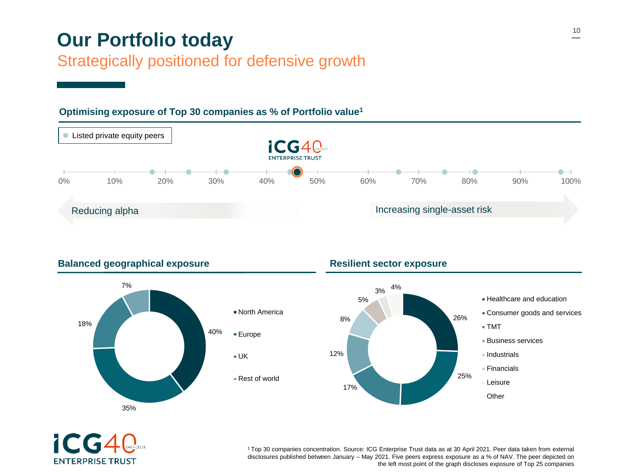# **Our Portfolio today**

### Strategically positioned for defensive growth

## **Listed private equity peers ICG40 ENTERPRISE TRUST** 0% 10% 20% 30% 40% 50% 60% 70% 80% 90% 100% Reducing alpha **Increasing single-asset risk**

### **Optimising exposure of Top 30 companies as % of Portfolio value<sup>1</sup>**



### **Balanced geographical exposure Resilient sector exposure**





<sup>1</sup>Top 30 companies concentration. Source: ICG Enterprise Trust data as at 30 April 2021. Peer data taken from external disclosures published between January – May 2021. Five peers express exposure as a % of NAV. The peer depicted on the left most point of the graph discloses exposure of Top 25 companies

<sup>12%</sup> North America Rest of world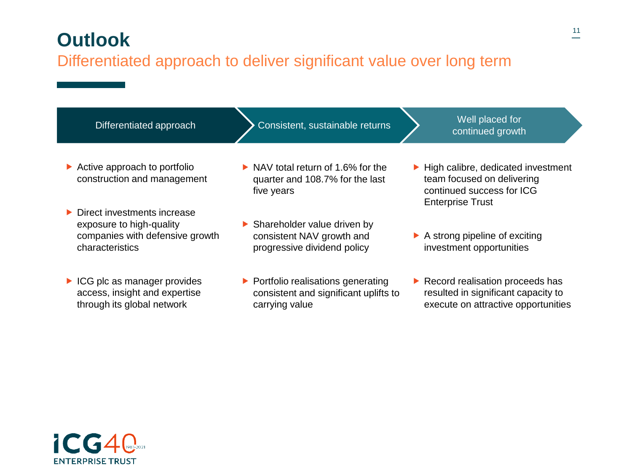# **Outlook**

### Differentiated approach to deliver significant value over long term

| Differentiated approach                                                                                                        | Consistent, sustainable returns                                                                                    | Well placed for<br>continued growth                                                                                                            |
|--------------------------------------------------------------------------------------------------------------------------------|--------------------------------------------------------------------------------------------------------------------|------------------------------------------------------------------------------------------------------------------------------------------------|
| $\triangleright$ Active approach to portfolio<br>construction and management                                                   | $\triangleright$ NAV total return of 1.6% for the<br>quarter and 108.7% for the last<br>five years                 | $\blacktriangleright$ High calibre, dedicated investment<br>team focused on delivering<br>continued success for ICG<br><b>Enterprise Trust</b> |
| $\triangleright$ Direct investments increase<br>exposure to high-quality<br>companies with defensive growth<br>characteristics | $\triangleright$ Shareholder value driven by<br>consistent NAV growth and<br>progressive dividend policy           | $\blacktriangleright$ A strong pipeline of exciting<br>investment opportunities                                                                |
| $\triangleright$ ICG plc as manager provides<br>access, insight and expertise<br>through its global network                    | $\blacktriangleright$ Portfolio realisations generating<br>consistent and significant uplifts to<br>carrying value | $\blacktriangleright$ Record realisation proceeds has<br>resulted in significant capacity to<br>execute on attractive opportunities            |